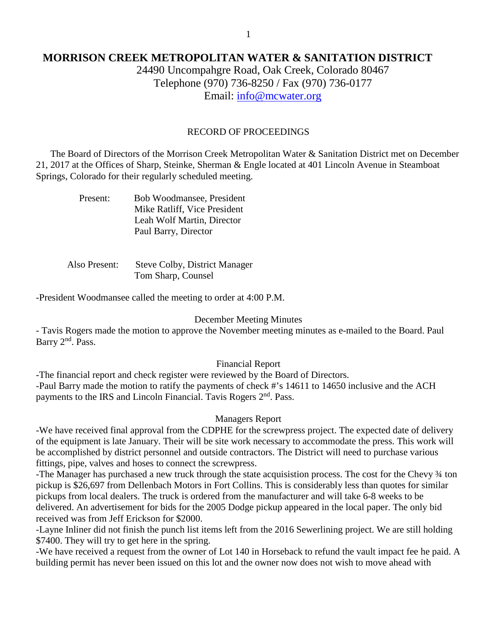# **MORRISON CREEK METROPOLITAN WATER & SANITATION DISTRICT**

24490 Uncompahgre Road, Oak Creek, Colorado 80467 Telephone (970) 736-8250 / Fax (970) 736-0177 Email: [info@mcwater.org](mailto:info@mcwater.org)

## RECORD OF PROCEEDINGS

 The Board of Directors of the Morrison Creek Metropolitan Water & Sanitation District met on December 21, 2017 at the Offices of Sharp, Steinke, Sherman & Engle located at 401 Lincoln Avenue in Steamboat Springs, Colorado for their regularly scheduled meeting.

| Present: | Bob Woodmansee, President    |
|----------|------------------------------|
|          | Mike Ratliff, Vice President |
|          | Leah Wolf Martin, Director   |
|          | Paul Barry, Director         |

 Also Present: Steve Colby, District Manager Tom Sharp, Counsel

-President Woodmansee called the meeting to order at 4:00 P.M.

### December Meeting Minutes

- Tavis Rogers made the motion to approve the November meeting minutes as e-mailed to the Board. Paul Barry 2<sup>nd</sup>. Pass.

#### Financial Report

-The financial report and check register were reviewed by the Board of Directors. -Paul Barry made the motion to ratify the payments of check #'s 14611 to 14650 inclusive and the ACH payments to the IRS and Lincoln Financial. Tavis Rogers 2<sup>nd</sup>. Pass.

### Managers Report

-We have received final approval from the CDPHE for the screwpress project. The expected date of delivery of the equipment is late January. Their will be site work necessary to accommodate the press. This work will be accomplished by district personnel and outside contractors. The District will need to purchase various fittings, pipe, valves and hoses to connect the screwpress.

-The Manager has purchased a new truck through the state acquisistion process. The cost for the Chevy ¾ ton pickup is \$26,697 from Dellenbach Motors in Fort Collins. This is considerably less than quotes for similar pickups from local dealers. The truck is ordered from the manufacturer and will take 6-8 weeks to be delivered. An advertisement for bids for the 2005 Dodge pickup appeared in the local paper. The only bid received was from Jeff Erickson for \$2000.

-Layne Inliner did not finish the punch list items left from the 2016 Sewerlining project. We are still holding \$7400. They will try to get here in the spring.

-We have received a request from the owner of Lot 140 in Horseback to refund the vault impact fee he paid. A building permit has never been issued on this lot and the owner now does not wish to move ahead with